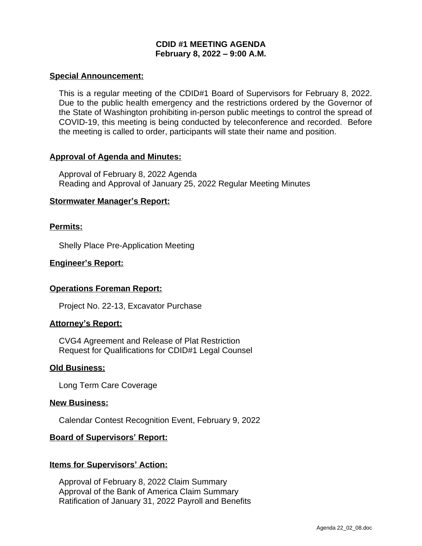# **CDID #1 MEETING AGENDA February 8, 2022 – 9:00 A.M.**

#### **Special Announcement:**

This is a regular meeting of the CDID#1 Board of Supervisors for February 8, 2022. Due to the public health emergency and the restrictions ordered by the Governor of the State of Washington prohibiting in-person public meetings to control the spread of COVID-19, this meeting is being conducted by teleconference and recorded. Before the meeting is called to order, participants will state their name and position.

## **Approval of Agenda and Minutes:**

Approval of February 8, 2022 Agenda Reading and Approval of January 25, 2022 Regular Meeting Minutes

## **Stormwater Manager's Report:**

## **Permits:**

Shelly Place Pre-Application Meeting

## **Engineer's Report:**

## **Operations Foreman Report:**

Project No. 22-13, Excavator Purchase

#### **Attorney's Report:**

CVG4 Agreement and Release of Plat Restriction Request for Qualifications for CDID#1 Legal Counsel

#### **Old Business:**

Long Term Care Coverage

#### **New Business:**

Calendar Contest Recognition Event, February 9, 2022

#### **Board of Supervisors' Report:**

#### **Items for Supervisors' Action:**

Approval of February 8, 2022 Claim Summary Approval of the Bank of America Claim Summary Ratification of January 31, 2022 Payroll and Benefits